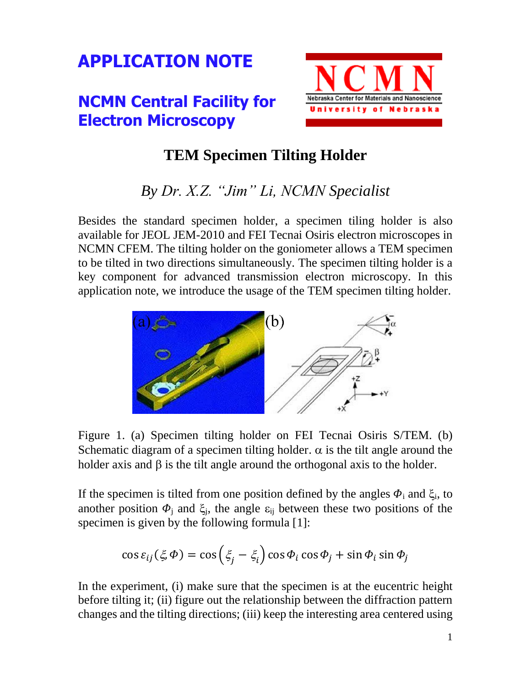## **APPLICATION NOTE**

## **NCMN Central Facility for Electron Microscopy**



## **TEM Specimen Tilting Holder**

## *By Dr. X.Z. "Jim" Li, NCMN Specialist*

Besides the standard specimen holder, a specimen tiling holder is also available for JEOL JEM-2010 and FEI Tecnai Osiris electron microscopes in NCMN CFEM. The tilting holder on the goniometer allows a TEM specimen to be tilted in two directions simultaneously. The specimen tilting holder is a key component for advanced transmission electron microscopy. In this application note, we introduce the usage of the TEM specimen tilting holder.



Figure 1. (a) Specimen tilting holder on FEI Tecnai Osiris S/TEM. (b) Schematic diagram of a specimen tilting holder.  $\alpha$  is the tilt angle around the holder axis and  $\beta$  is the tilt angle around the orthogonal axis to the holder.

If the specimen is tilted from one position defined by the angles  $\Phi_i$  and  $\xi_i$ , to another position  $\Phi_j$  and  $\xi_j$ , the angle  $\varepsilon_{ij}$  between these two positions of the specimen is given by the following formula [1]:

$$
\cos \varepsilon_{ij}(\xi, \Phi) = \cos \left(\xi_j - \xi_i\right) \cos \Phi_i \cos \Phi_j + \sin \Phi_i \sin \Phi_j
$$

In the experiment, (i) make sure that the specimen is at the eucentric height before tilting it; (ii) figure out the relationship between the diffraction pattern changes and the tilting directions; (iii) keep the interesting area centered using